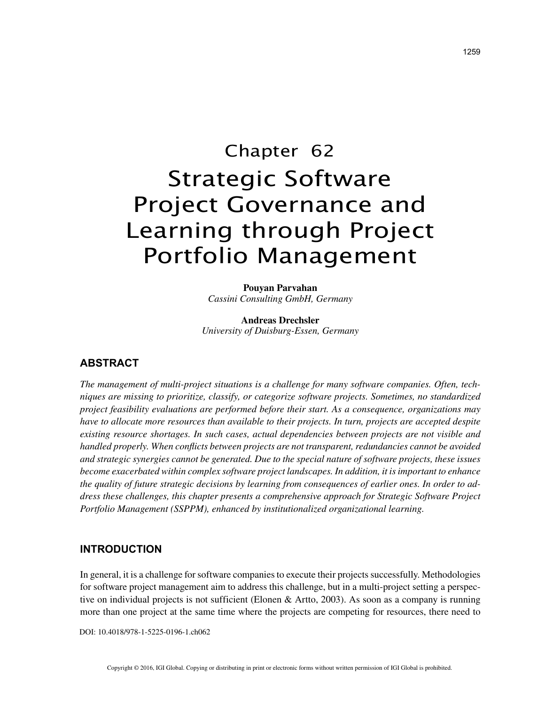# Chapter 62 Strategic Software Project Governance and Learning through Project Portfolio Management

**Pouyan Parvahan** *Cassini Consulting GmbH, Germany*

**Andreas Drechsler** *University of Duisburg-Essen, Germany*

## **ABSTRACT**

*The management of multi-project situations is a challenge for many software companies. Often, techniques are missing to prioritize, classify, or categorize software projects. Sometimes, no standardized project feasibility evaluations are performed before their start. As a consequence, organizations may have to allocate more resources than available to their projects. In turn, projects are accepted despite existing resource shortages. In such cases, actual dependencies between projects are not visible and handled properly. When conflicts between projects are not transparent, redundancies cannot be avoided and strategic synergies cannot be generated. Due to the special nature of software projects, these issues become exacerbated within complex software project landscapes. In addition, it is important to enhance the quality of future strategic decisions by learning from consequences of earlier ones. In order to address these challenges, this chapter presents a comprehensive approach for Strategic Software Project Portfolio Management (SSPPM), enhanced by institutionalized organizational learning.*

### **INTRODUCTION**

In general, it is a challenge for software companies to execute their projects successfully. Methodologies for software project management aim to address this challenge, but in a multi-project setting a perspective on individual projects is not sufficient (Elonen & Artto, 2003). As soon as a company is running more than one project at the same time where the projects are competing for resources, there need to

DOI: 10.4018/978-1-5225-0196-1.ch062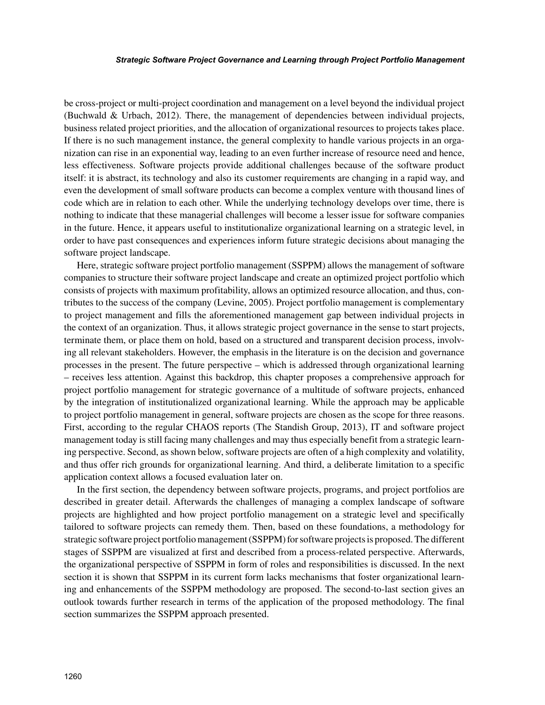#### *Strategic Software Project Governance and Learning through Project Portfolio Management*

be cross-project or multi-project coordination and management on a level beyond the individual project (Buchwald & Urbach, 2012). There, the management of dependencies between individual projects, business related project priorities, and the allocation of organizational resources to projects takes place. If there is no such management instance, the general complexity to handle various projects in an organization can rise in an exponential way, leading to an even further increase of resource need and hence, less effectiveness. Software projects provide additional challenges because of the software product itself: it is abstract, its technology and also its customer requirements are changing in a rapid way, and even the development of small software products can become a complex venture with thousand lines of code which are in relation to each other. While the underlying technology develops over time, there is nothing to indicate that these managerial challenges will become a lesser issue for software companies in the future. Hence, it appears useful to institutionalize organizational learning on a strategic level, in order to have past consequences and experiences inform future strategic decisions about managing the software project landscape.

Here, strategic software project portfolio management (SSPPM) allows the management of software companies to structure their software project landscape and create an optimized project portfolio which consists of projects with maximum profitability, allows an optimized resource allocation, and thus, contributes to the success of the company (Levine, 2005). Project portfolio management is complementary to project management and fills the aforementioned management gap between individual projects in the context of an organization. Thus, it allows strategic project governance in the sense to start projects, terminate them, or place them on hold, based on a structured and transparent decision process, involving all relevant stakeholders. However, the emphasis in the literature is on the decision and governance processes in the present. The future perspective – which is addressed through organizational learning – receives less attention. Against this backdrop, this chapter proposes a comprehensive approach for project portfolio management for strategic governance of a multitude of software projects, enhanced by the integration of institutionalized organizational learning. While the approach may be applicable to project portfolio management in general, software projects are chosen as the scope for three reasons. First, according to the regular CHAOS reports (The Standish Group, 2013), IT and software project management today is still facing many challenges and may thus especially benefit from a strategic learning perspective. Second, as shown below, software projects are often of a high complexity and volatility, and thus offer rich grounds for organizational learning. And third, a deliberate limitation to a specific application context allows a focused evaluation later on.

In the first section, the dependency between software projects, programs, and project portfolios are described in greater detail. Afterwards the challenges of managing a complex landscape of software projects are highlighted and how project portfolio management on a strategic level and specifically tailored to software projects can remedy them. Then, based on these foundations, a methodology for strategic software project portfolio management (SSPPM) for software projects is proposed. The different stages of SSPPM are visualized at first and described from a process-related perspective. Afterwards, the organizational perspective of SSPPM in form of roles and responsibilities is discussed. In the next section it is shown that SSPPM in its current form lacks mechanisms that foster organizational learning and enhancements of the SSPPM methodology are proposed. The second-to-last section gives an outlook towards further research in terms of the application of the proposed methodology. The final section summarizes the SSPPM approach presented.